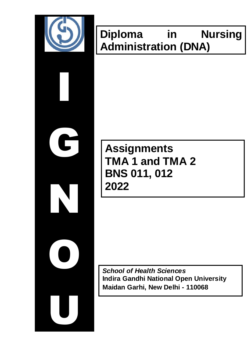

I

G

N

O

U



# **Assignments TMA 1 and TMA 2 BNS 011, 012 2022**

*School of Health Sciences*  **Indira Gandhi National Open University Maidan Garhi, New Delhi - 110068**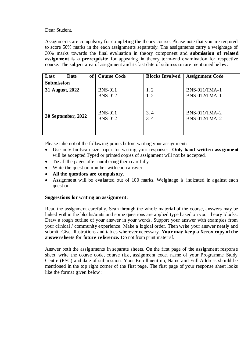#### Dear Student,

Assignments are compulsory for completing the theory course. Please note that you are required to score 50% marks in the each assignments separately. The assignments carry a weightage of 30% marks towards the final evaluation in theory component and **submission of related assignment is a prerequisite** for appearing in theory term-end examination for respective course. The subject area of assignment and its last date of submission are mentioned below:

| оf<br><b>Date</b><br>Last | <b>Course Code</b>               | <b>Blocks Involved</b> | <b>Assignment Code</b>                       |
|---------------------------|----------------------------------|------------------------|----------------------------------------------|
| <b>Submission</b>         |                                  |                        |                                              |
| 31 August, 2022           | <b>BNS-011</b>                   | 1, 2                   | <b>BNS-011/TMA-1</b>                         |
|                           | <b>BNS-012</b>                   | 1, 2                   | <b>BNS-012/TMA-1</b>                         |
| 30 September, 2022        | <b>BNS-011</b><br><b>BNS-012</b> | 3, 4<br>3, 4           | <b>BNS-011/TMA-2</b><br><b>BNS-012/TMA-2</b> |

Please take not of the following points before writing your assignment:

- Use only foolscap size paper for writing your responses. **Only hand written assignment**  will be accepted Typed or printed copies of assignment will not be accepted.
- Tie all the pages after numbering them carefully.
- Write the question number with each answer.
- **All the questions are compulsory.**
- Assignment will be evaluated out of 100 marks. Weightage is indicated in against each question.

## **Suggestions for writing an assignment:**

Read the assignment carefully. Scan through the whole material of the course, answers may be linked within the blocks/units and some questions are applied type based on your theory blocks. Draw a rough outline of your answer in your words. Support your answer with examples from your clinical / community experience. Make a logical order. Then write your answer neatly and submit. Give illustrations and tables wherever necessary. **Your may keep a Xerox copy of the answer sheets for future reference.** Do not from print material.

Answer both the assignments in separate sheets. On the first page of the assignment response sheet, write the course code, course title, assignment code, name of your Programme Study Centre (PSC) and date of submission. Your Enrollment no, Name and Full Address should be mentioned in the top right corner of the first page. The first page of your response sheet looks like the format given below: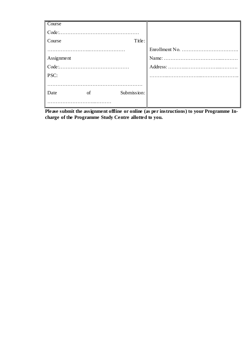| Course     |             |  |
|------------|-------------|--|
|            |             |  |
| Course     | Title:      |  |
|            |             |  |
| Assignment |             |  |
|            |             |  |
| PSC:       |             |  |
|            |             |  |
| Date<br>of | Submission: |  |
|            |             |  |

**Please submit the assignment offline or online (as per instructions) to your Programme Incharge of the Programme Study Centre allotted to you.**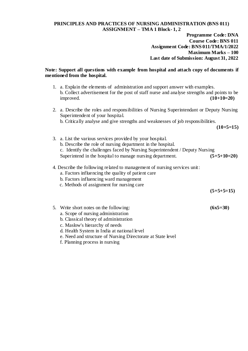## **PRINCIPLES AND PRACTICES OF NURSING ADMINISTRATION (BNS 011) ASSIGNMENT – TMA 1 Block- 1, 2**

**Programme Code: DNA Course Code: BNS 011 Assignment Code: BNS 011/TMA/1/2022 Maximum Marks – 100 Last date of Submission: August 31, 2022**

#### **Note: Support all questions with example from hospital and attach copy of documents if mentioned from the hospital.**

- 1. a. Explain the elements of administration and support answer with examples. b. Collect advertisement for the post of staff nurse and analyse strengths and points to be improved. **(10+10=20)**
- 2. a. Describe the roles and responsibilities of Nursing Superintendant or Deputy Nursing Superintendent of your hospital.
	- b. Critically analyse and give strengths and weaknesses of job responsibilities.

**(10+5=15)**

3. a. List the various services provided by your hospital. b. Describe the role of nursing department in the hospital. c. Identify the challenges faced by Nursing Superintendent / Deputy Nursing Superintend in the hospital to manage nursing department. **(5+5+10=20)**

## 4. Describe the following related to management of nursing services unit:

- a. Factors influencing the quality of patient care
- b. Factors influencing ward management
- c. Methods of assignment for nursing care

**(5+5+5=15)**

- 5. Write short notes on the following: **(6x5=30)**
	- a. Scope of nursing administration
	- b. Classical theory of administration
	- c. Maslow's hierarchy of needs
	- d. Health System in India at national level
	- e. Need and structure of Nursing Directorate at State level
	- f. Planning process in nursing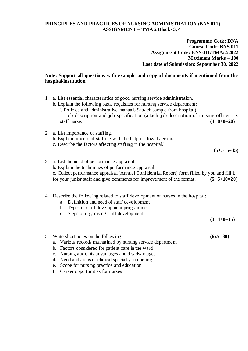## **PRINCIPLES AND PRACTICES OF NURSING ADMINISTRATION (BNS 011) ASSIGNMENT – TMA 2 Block- 3, 4**

**Programme Code: DNA Course Code: BNS 011 Assignment Code: BNS 011/TMA/2/2022 Maximum Marks – 100 Last date of Submission: September 30, 2022**

#### **Note: Support all questions with example and copy of documents if mentioned from the hospital/institution.**

|    | 1. a. List essential characteristics of good nursing service administration.<br>b. Explain the following basic requisites for nursing service department:<br>i. Policies and administrative manuals 9attach sample from hospital)<br>ii. Job description and job specification (attach job description of nursing officer i.e.<br>staff nurse.                        | $(4+8+8=20)$  |
|----|-----------------------------------------------------------------------------------------------------------------------------------------------------------------------------------------------------------------------------------------------------------------------------------------------------------------------------------------------------------------------|---------------|
|    | 2. a. List importance of staffing.<br>b. Explain process of staffing with the help of flow diagram.<br>c. Describe the factors affecting staffing in the hospital/                                                                                                                                                                                                    | $(5+5+5=15)$  |
| 3. | a. List the need of performance appraisal.<br>b. Explain the techniques of performance appraisal.<br>c. Collect performance appraisal (Annual Confidential Report) form filled by you and fill it<br>for your junior staff and give comments for improvement of the format.                                                                                           | $(5+5+10=20)$ |
|    | 4. Describe the following related to staff development of nurses in the hospital:<br>a. Definition and need of staff development<br>Types of staff development programmes<br>$\mathbf{b}$ .<br>Steps of organising staff development<br>c.                                                                                                                            | $(3+4+8=15)$  |
|    | 5. Write short notes on the following:<br>Various records maintained by nursing service department<br>a.<br>b. Factors considered for patient care in the ward<br>c. Nursing audit, its advantages and disadvantages<br>d. Need and areas of clinical specialty in nursing<br>Scope for nursing practice and education<br>e.<br>Career opportunities for nurses<br>f. | $(6x5=30)$    |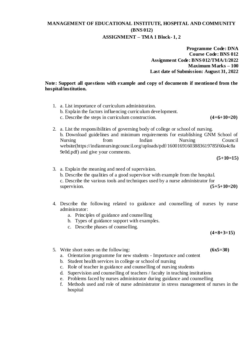# **MANAGEMENT OF EDUCATIONAL INSTITUTE, HOSPITAL AND COMMUNITY (BNS 012) ASSIGNMENT – TMA 1 Block- 1, 2**

**Programme Code: DNA Course Code: BNS 012 Assignment Code: BNS 012/TMA/1/2022 Maximum Marks – 100 Last date of Submission: August 31, 2022**

#### **Note: Support all questions with example and copy of documents if mentioned from the hospital/institution.**

1. a. List importance of curriculum administration. b. Explain the factors influencing curriculum development. c. Describe the steps in curriculum construction. **(4+6+10=20)** 2. a. List the responsibilities of governing body of college or school of nursing. b. Download guidelines and minimum requirements for establishing GNM School of Nursing from Indian Nursing Council website(https://indiannursingcouncil.org/uploads/pdf/16001691603883619785f60a4c8a 9e0d.pdf) and give your comments.

**(5+10=15)**

- 3. a. Explain the meaning and need of supervision. b. Describe the qualities of a good supervisor with example from the hospital. c. Describe the various tools and techniques used by a nurse administrator for supervision. **(5+5+10=20) (5+5+10=20)**
- 4. Describe the following related to guidance and counselling of nurses by nurse administrator:
	- a. Principles of guidance and counselling
	- b. Types of guidance support with examples.
	- c. Describe phases of counselling.

**(4+8+3=15)**

- 5. Write short notes on the following: **(6x5=30)**
	- a. Orientation programme for new students Importance and content
	- b. Student health services in college or school of nursing
	- c. Role of teacher in guidance and counselling of nursing students
	- d. Supervision and counselling of teachers / faculty in teaching institutions
	- e. Problems faced by nurses administrator during guidance and counselling
	- f. Methods used and role of nurse administrator in stress management of nurses in the hospital